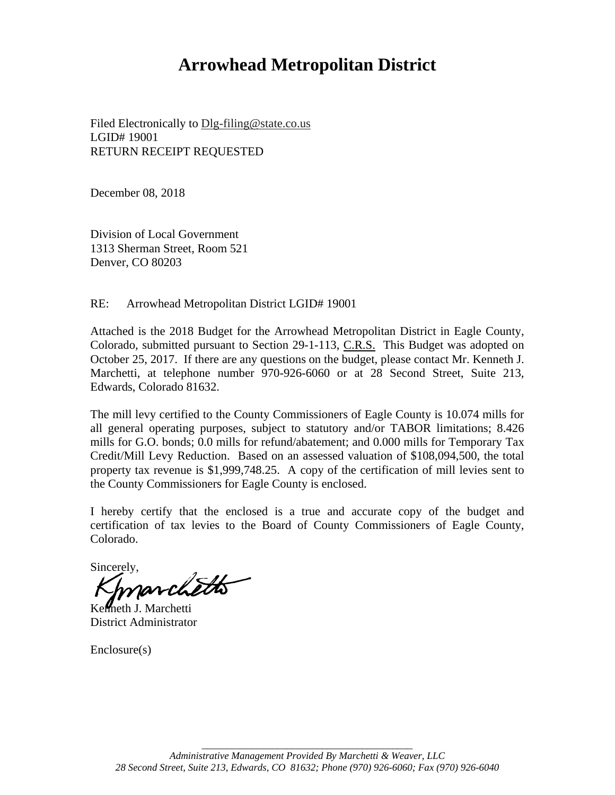# **Arrowhead Metropolitan District**

Filed Electronically to Dlg-filing@state.co.us LGID# 19001 RETURN RECEIPT REQUESTED

December 08, 2018

Division of Local Government 1313 Sherman Street, Room 521 Denver, CO 80203

RE: Arrowhead Metropolitan District LGID# 19001

Attached is the 2018 Budget for the Arrowhead Metropolitan District in Eagle County, Colorado, submitted pursuant to Section 29-1-113, C.R.S. This Budget was adopted on October 25, 2017. If there are any questions on the budget, please contact Mr. Kenneth J. Marchetti, at telephone number 970-926-6060 or at 28 Second Street, Suite 213, Edwards, Colorado 81632.

The mill levy certified to the County Commissioners of Eagle County is 10.074 mills for all general operating purposes, subject to statutory and/or TABOR limitations; 8.426 mills for G.O. bonds; 0.0 mills for refund/abatement; and 0.000 mills for Temporary Tax Credit/Mill Levy Reduction. Based on an assessed valuation of \$108,094,500, the total property tax revenue is \$1,999,748.25. A copy of the certification of mill levies sent to the County Commissioners for Eagle County is enclosed.

I hereby certify that the enclosed is a true and accurate copy of the budget and certification of tax levies to the Board of County Commissioners of Eagle County, Colorado.

Sincerely,

Kenneth J. Marchetti District Administrator

Enclosure(s)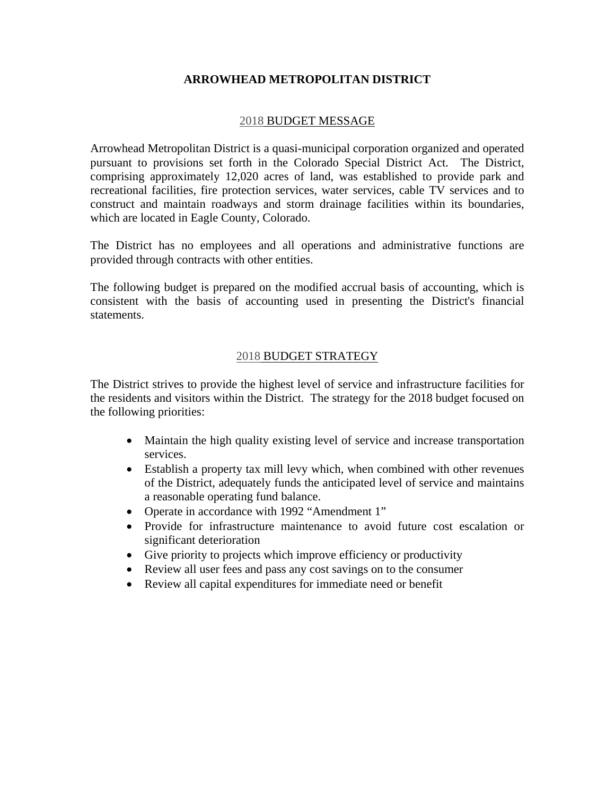#### **ARROWHEAD METROPOLITAN DISTRICT**

#### 2018 BUDGET MESSAGE

Arrowhead Metropolitan District is a quasi-municipal corporation organized and operated pursuant to provisions set forth in the Colorado Special District Act. The District, comprising approximately 12,020 acres of land, was established to provide park and recreational facilities, fire protection services, water services, cable TV services and to construct and maintain roadways and storm drainage facilities within its boundaries, which are located in Eagle County, Colorado.

The District has no employees and all operations and administrative functions are provided through contracts with other entities.

The following budget is prepared on the modified accrual basis of accounting, which is consistent with the basis of accounting used in presenting the District's financial statements.

#### 2018 BUDGET STRATEGY

The District strives to provide the highest level of service and infrastructure facilities for the residents and visitors within the District. The strategy for the 2018 budget focused on the following priorities:

- Maintain the high quality existing level of service and increase transportation services.
- Establish a property tax mill levy which, when combined with other revenues of the District, adequately funds the anticipated level of service and maintains a reasonable operating fund balance.
- Operate in accordance with 1992 "Amendment 1"
- Provide for infrastructure maintenance to avoid future cost escalation or significant deterioration
- Give priority to projects which improve efficiency or productivity
- Review all user fees and pass any cost savings on to the consumer
- Review all capital expenditures for immediate need or benefit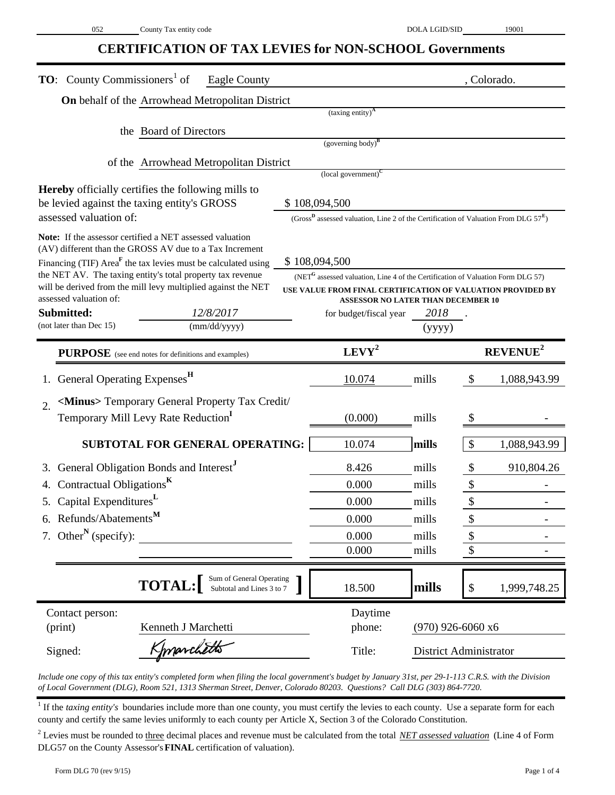### **CERTIFICATION OF TAX LEVIES for NON-SCHOOL Governments**

| <b>TO:</b> County Commissioners <sup>1</sup> of<br><b>Eagle County</b>                                              |                                                                                                             |                                                                                                          |                     | , Colorado.                               |  |  |  |  |  |  |  |
|---------------------------------------------------------------------------------------------------------------------|-------------------------------------------------------------------------------------------------------------|----------------------------------------------------------------------------------------------------------|---------------------|-------------------------------------------|--|--|--|--|--|--|--|
| On behalf of the Arrowhead Metropolitan District                                                                    |                                                                                                             |                                                                                                          |                     |                                           |  |  |  |  |  |  |  |
|                                                                                                                     |                                                                                                             | $(taxing entity)^A$                                                                                      |                     |                                           |  |  |  |  |  |  |  |
| the Board of Directors                                                                                              |                                                                                                             |                                                                                                          |                     |                                           |  |  |  |  |  |  |  |
| $(governing body)^B$                                                                                                |                                                                                                             |                                                                                                          |                     |                                           |  |  |  |  |  |  |  |
| of the Arrowhead Metropolitan District                                                                              |                                                                                                             |                                                                                                          |                     |                                           |  |  |  |  |  |  |  |
| <b>Hereby</b> officially certifies the following mills to                                                           |                                                                                                             | $\left($ local government $\right)^{C}$                                                                  |                     |                                           |  |  |  |  |  |  |  |
| be levied against the taxing entity's GROSS<br>\$108,094,500                                                        |                                                                                                             |                                                                                                          |                     |                                           |  |  |  |  |  |  |  |
| assessed valuation of:                                                                                              | (Gross <sup>D</sup> assessed valuation, Line 2 of the Certification of Valuation From DLG $57^{\text{E}}$ ) |                                                                                                          |                     |                                           |  |  |  |  |  |  |  |
| Note: If the assessor certified a NET assessed valuation<br>(AV) different than the GROSS AV due to a Tax Increment |                                                                                                             |                                                                                                          |                     |                                           |  |  |  |  |  |  |  |
| Financing (TIF) Area <sup><math>F</math></sup> the tax levies must be calculated using                              |                                                                                                             | \$108,094,500                                                                                            |                     |                                           |  |  |  |  |  |  |  |
| the NET AV. The taxing entity's total property tax revenue                                                          |                                                                                                             | (NET <sup>G</sup> assessed valuation, Line 4 of the Certification of Valuation Form DLG 57)              |                     |                                           |  |  |  |  |  |  |  |
| will be derived from the mill levy multiplied against the NET<br>assessed valuation of:                             |                                                                                                             | USE VALUE FROM FINAL CERTIFICATION OF VALUATION PROVIDED BY<br><b>ASSESSOR NO LATER THAN DECEMBER 10</b> |                     |                                           |  |  |  |  |  |  |  |
| Submitted:<br>12/8/2017                                                                                             |                                                                                                             | for budget/fiscal year                                                                                   | 2018                |                                           |  |  |  |  |  |  |  |
| (not later than Dec 15)<br>(mm/dd/yyyy)                                                                             |                                                                                                             |                                                                                                          | (yyyy)              |                                           |  |  |  |  |  |  |  |
| $LEVY^2$<br><b>REVENUE</b> <sup>2</sup><br><b>PURPOSE</b> (see end notes for definitions and examples)              |                                                                                                             |                                                                                                          |                     |                                           |  |  |  |  |  |  |  |
| General Operating Expenses <sup>H</sup>                                                                             |                                                                                                             | <u>10.074</u>                                                                                            | mills               | $\boldsymbol{\mathsf{S}}$<br>1,088,943.99 |  |  |  |  |  |  |  |
| <minus> Temporary General Property Tax Credit/<br/><math>\overline{2}</math>.</minus>                               |                                                                                                             |                                                                                                          |                     |                                           |  |  |  |  |  |  |  |
| Temporary Mill Levy Rate Reduction <sup>1</sup>                                                                     |                                                                                                             | (0.000)                                                                                                  | mills               |                                           |  |  |  |  |  |  |  |
| SUBTOTAL FOR GENERAL OPERATING:                                                                                     |                                                                                                             | 10.074                                                                                                   | mills               | $\boldsymbol{\mathsf{S}}$<br>1,088,943.99 |  |  |  |  |  |  |  |
| General Obligation Bonds and Interest <sup>J</sup>                                                                  |                                                                                                             | 8.426                                                                                                    | mills               | $\boldsymbol{\mathsf{S}}$<br>910,804.26   |  |  |  |  |  |  |  |
| Contractual Obligations <sup>K</sup>                                                                                |                                                                                                             | 0.000                                                                                                    | mills               | $\boldsymbol{\$}$                         |  |  |  |  |  |  |  |
| 5. Capital Expenditures <sup>L</sup>                                                                                |                                                                                                             | 0.000                                                                                                    | mills               | \$                                        |  |  |  |  |  |  |  |
| 6. Refunds/Abatements <sup>M</sup>                                                                                  |                                                                                                             | 0.000                                                                                                    | mills               | \$                                        |  |  |  |  |  |  |  |
| 7. Other <sup>N</sup> (specify):                                                                                    |                                                                                                             | 0.000                                                                                                    | mills               | \$                                        |  |  |  |  |  |  |  |
|                                                                                                                     |                                                                                                             | 0.000                                                                                                    | mills               | \$                                        |  |  |  |  |  |  |  |
|                                                                                                                     |                                                                                                             |                                                                                                          |                     |                                           |  |  |  |  |  |  |  |
| Sum of General Operating<br>Subtotal and Lines 3 to 7<br><b>TOTAL:</b>                                              |                                                                                                             | 18.500                                                                                                   | mills               | 1,999,748.25<br>\$                        |  |  |  |  |  |  |  |
| Contact person:                                                                                                     |                                                                                                             | Daytime                                                                                                  |                     |                                           |  |  |  |  |  |  |  |
| (print)<br>Kenneth J Marchetti                                                                                      |                                                                                                             | phone:                                                                                                   | $(970)$ 926-6060 x6 |                                           |  |  |  |  |  |  |  |
| Kmarchetts<br>Signed:                                                                                               |                                                                                                             | Title:                                                                                                   |                     | <b>District Administrator</b>             |  |  |  |  |  |  |  |

*Include one copy of this tax entity's completed form when filing the local government's budget by January 31st, per 29-1-113 C.R.S. with the Division of Local Government (DLG), Room 521, 1313 Sherman Street, Denver, Colorado 80203. Questions? Call DLG (303) 864-7720.*

<sup>1</sup> If the *taxing entity's* boundaries include more than one county, you must certify the levies to each county. Use a separate form for each county and certify the same levies uniformly to each county per Article X, Section 3 of the Colorado Constitution.

<sup>2</sup> Levies must be rounded to three decimal places and revenue must be calculated from the total *NET assessed valuation* (Line 4 of Form DLG57 on the County Assessor's **FINAL** certification of valuation).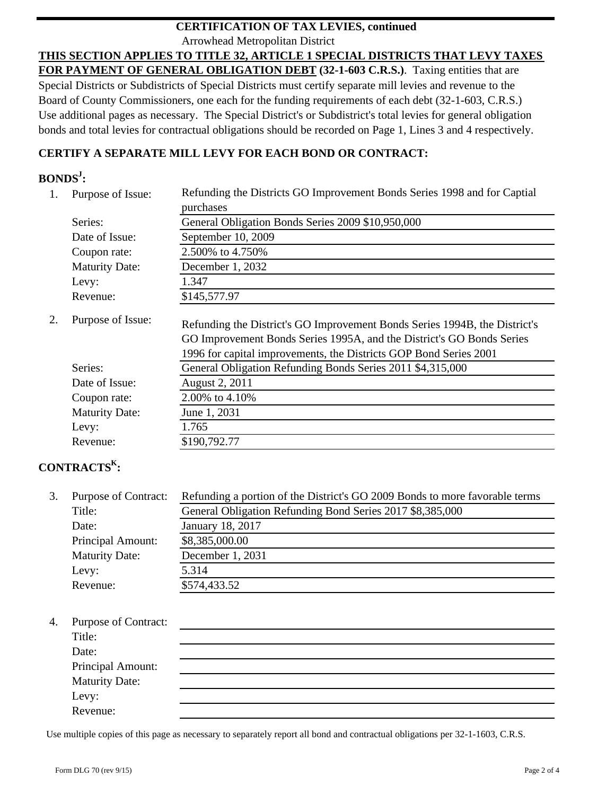#### Arrowhead Metropolitan District **CERTIFICATION OF TAX LEVIES, continued**

**THIS SECTION APPLIES TO TITLE 32, ARTICLE 1 SPECIAL DISTRICTS THAT LEVY TAXES FOR PAYMENT OF GENERAL OBLIGATION DEBT (32-1-603 C.R.S.)**. Taxing entities that are Special Districts or Subdistricts of Special Districts must certify separate mill levies and revenue to the Board of County Commissioners, one each for the funding requirements of each debt (32-1-603, C.R.S.) Use additional pages as necessary. The Special District's or Subdistrict's total levies for general obligation bonds and total levies for contractual obligations should be recorded on Page 1, Lines 3 and 4 respectively.

### **CERTIFY A SEPARATE MILL LEVY FOR EACH BOND OR CONTRACT:**

### **BONDSJ :**

| Purpose of Issue:     | Refunding the Districts GO Improvement Bonds Series 1998 and for Captial                                                                                                                                                 |
|-----------------------|--------------------------------------------------------------------------------------------------------------------------------------------------------------------------------------------------------------------------|
|                       | purchases                                                                                                                                                                                                                |
| Series:               | General Obligation Bonds Series 2009 \$10,950,000                                                                                                                                                                        |
| Date of Issue:        | September 10, 2009                                                                                                                                                                                                       |
| Coupon rate:          | 2.500% to 4.750%                                                                                                                                                                                                         |
| <b>Maturity Date:</b> | December 1, 2032                                                                                                                                                                                                         |
| Levy:                 | 1.347                                                                                                                                                                                                                    |
| Revenue:              | \$145,577.97                                                                                                                                                                                                             |
| Purpose of Issue:     | Refunding the District's GO Improvement Bonds Series 1994B, the District's<br>GO Improvement Bonds Series 1995A, and the District's GO Bonds Series<br>1996 for capital improvements, the Districts GOP Bond Series 2001 |
| Series:               | General Obligation Refunding Bonds Series 2011 \$4,315,000                                                                                                                                                               |
| Date of Issue:        | August 2, 2011                                                                                                                                                                                                           |
| Coupon rate:          | 2.00% to 4.10%                                                                                                                                                                                                           |
| <b>Maturity Date:</b> | June 1, 2031                                                                                                                                                                                                             |
| Levy:                 | 1.765                                                                                                                                                                                                                    |
| Revenue:              | \$190,792.77                                                                                                                                                                                                             |
|                       |                                                                                                                                                                                                                          |

### **CONTRACTSK :**

| 3. | <b>Purpose of Contract:</b> | Refunding a portion of the District's GO 2009 Bonds to more favorable terms |
|----|-----------------------------|-----------------------------------------------------------------------------|
|    | Title:                      | General Obligation Refunding Bond Series 2017 \$8,385,000                   |
|    | Date:                       | January 18, 2017                                                            |
|    | Principal Amount:           | \$8,385,000.00                                                              |
|    | <b>Maturity Date:</b>       | December 1, 2031                                                            |
|    | Levy:                       | 5.314                                                                       |
|    | Revenue:                    | \$574,433.52                                                                |

#### 4. Purpose of Contract:

| - - - - - - - - - - - - - - - - - |  |
|-----------------------------------|--|
| Title:                            |  |
| Date:                             |  |
| Principal Amount:                 |  |
| <b>Maturity Date:</b>             |  |
|                                   |  |
| Levy:<br>Revenue:                 |  |

Use multiple copies of this page as necessary to separately report all bond and contractual obligations per 32-1-1603, C.R.S.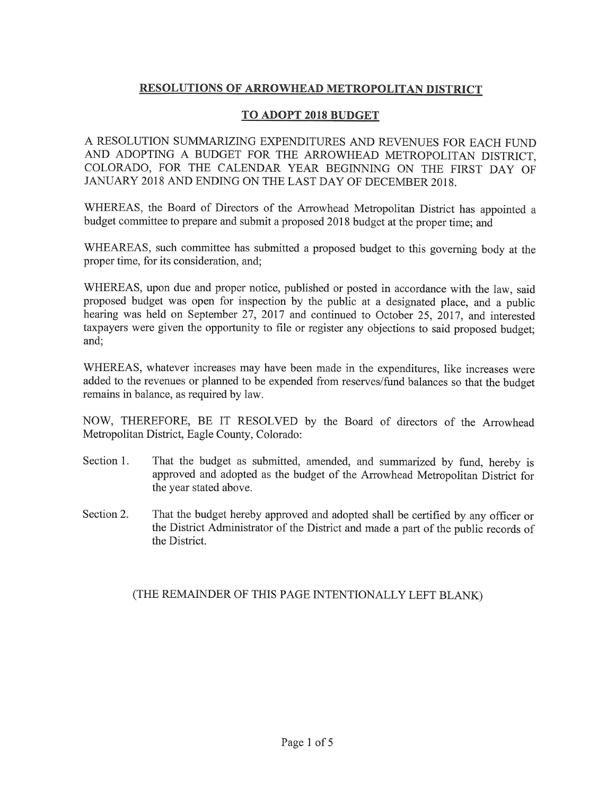### RESOLUTIONS OF ARROWHEAD METROPOLITAN DISTRICT

#### TO ADOPT 2018 BUDGET

A RESOLUTION SUMMARIZING EXPENDITURES AND REVENUES FOR EACH FUND AND ADOPTING A BUDGET FOR THE ARROWHEAD METROPOLITAN DISTRICT, COLORADO, FOR THE CALENDAR YEAR BEGINNING ON THE FIRST DAY OF JANUARY 2018 AND ENDING ON THE LAST DAY OF DECEMBER 2018.

WHEREAS, the Board of Directors of the Arrowhead Metropolitan District has appointed a budget committee to prepare and submit a proposed 2018 budget at the proper time; and

WHEAREAS, such committee has submitted a proposed budget to this governing body at the proper time, for its consideration, and;

WHEREAS, upon due and proper notice, published or posted in accordance with the law, said proposed budget was open for inspection by the public at a designated place, and a public hearing was held on September 27, 2017 and continued to October 25, 2017, and interested taxpayers were given the opportunity to file or register any objections to said proposed budget; and;

WHEREAS, whatever increases may have been made in the expenditures, like increases were added to the revenues or planned to be expended from reserves/fund balances so that the budget remains in balance, as required by law.

NOW, THEREFORE, BE IT RESOLVED by the Board of directors of the Arrowhead Metropolitan District, Eagle County, Colorado:

- That the budget as submitted, amended, and summarized by fund, hereby is Section 1. approved and adopted as the budget of the Arrowhead Metropolitan District for the year stated above.
- Section 2. That the budget hereby approved and adopted shall be certified by any officer or the District Administrator of the District and made a part of the public records of the District.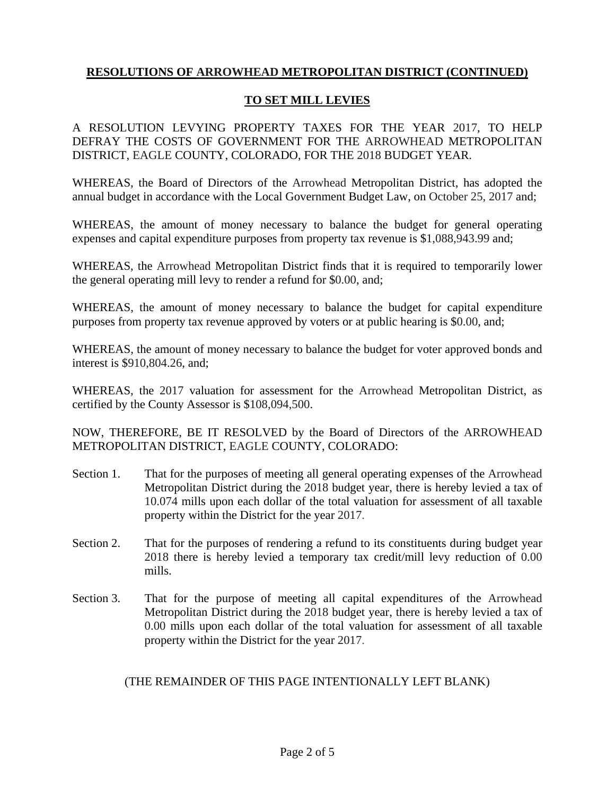### **TO SET MILL LEVIES**

A RESOLUTION LEVYING PROPERTY TAXES FOR THE YEAR 2017, TO HELP DEFRAY THE COSTS OF GOVERNMENT FOR THE ARROWHEAD METROPOLITAN DISTRICT, EAGLE COUNTY, COLORADO, FOR THE 2018 BUDGET YEAR.

WHEREAS, the Board of Directors of the Arrowhead Metropolitan District, has adopted the annual budget in accordance with the Local Government Budget Law, on October 25, 2017 and;

WHEREAS, the amount of money necessary to balance the budget for general operating expenses and capital expenditure purposes from property tax revenue is \$1,088,943.99 and;

WHEREAS, the Arrowhead Metropolitan District finds that it is required to temporarily lower the general operating mill levy to render a refund for \$0.00, and;

WHEREAS, the amount of money necessary to balance the budget for capital expenditure purposes from property tax revenue approved by voters or at public hearing is \$0.00, and;

WHEREAS, the amount of money necessary to balance the budget for voter approved bonds and interest is \$910,804.26, and;

WHEREAS, the 2017 valuation for assessment for the Arrowhead Metropolitan District, as certified by the County Assessor is \$108,094,500.

NOW, THEREFORE, BE IT RESOLVED by the Board of Directors of the ARROWHEAD METROPOLITAN DISTRICT, EAGLE COUNTY, COLORADO:

- Section 1. That for the purposes of meeting all general operating expenses of the Arrowhead Metropolitan District during the 2018 budget year, there is hereby levied a tax of 10.074 mills upon each dollar of the total valuation for assessment of all taxable property within the District for the year 2017.
- Section 2. That for the purposes of rendering a refund to its constituents during budget year 2018 there is hereby levied a temporary tax credit/mill levy reduction of 0.00 mills.
- Section 3. That for the purpose of meeting all capital expenditures of the Arrowhead Metropolitan District during the 2018 budget year, there is hereby levied a tax of 0.00 mills upon each dollar of the total valuation for assessment of all taxable property within the District for the year 2017.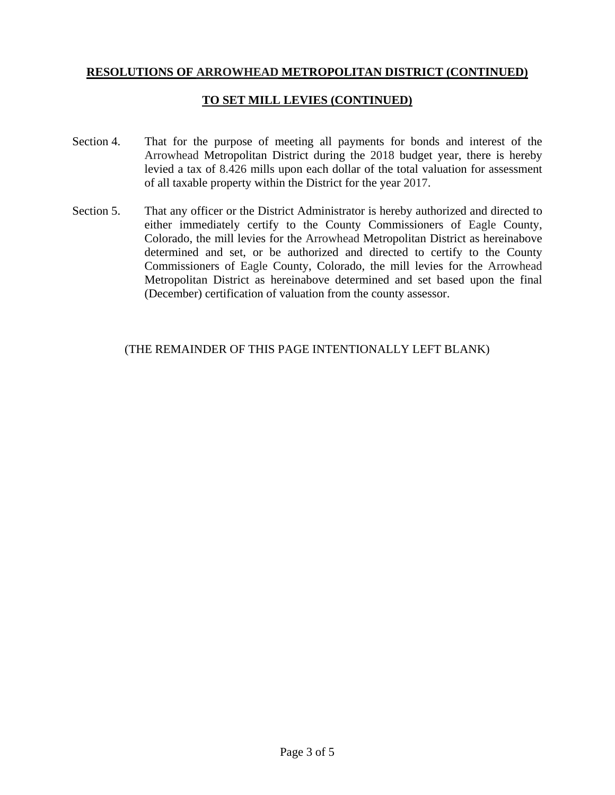### **TO SET MILL LEVIES (CONTINUED)**

- Section 4. That for the purpose of meeting all payments for bonds and interest of the Arrowhead Metropolitan District during the 2018 budget year, there is hereby levied a tax of 8.426 mills upon each dollar of the total valuation for assessment of all taxable property within the District for the year 2017.
- Section 5. That any officer or the District Administrator is hereby authorized and directed to either immediately certify to the County Commissioners of Eagle County, Colorado, the mill levies for the Arrowhead Metropolitan District as hereinabove determined and set, or be authorized and directed to certify to the County Commissioners of Eagle County, Colorado, the mill levies for the Arrowhead Metropolitan District as hereinabove determined and set based upon the final (December) certification of valuation from the county assessor.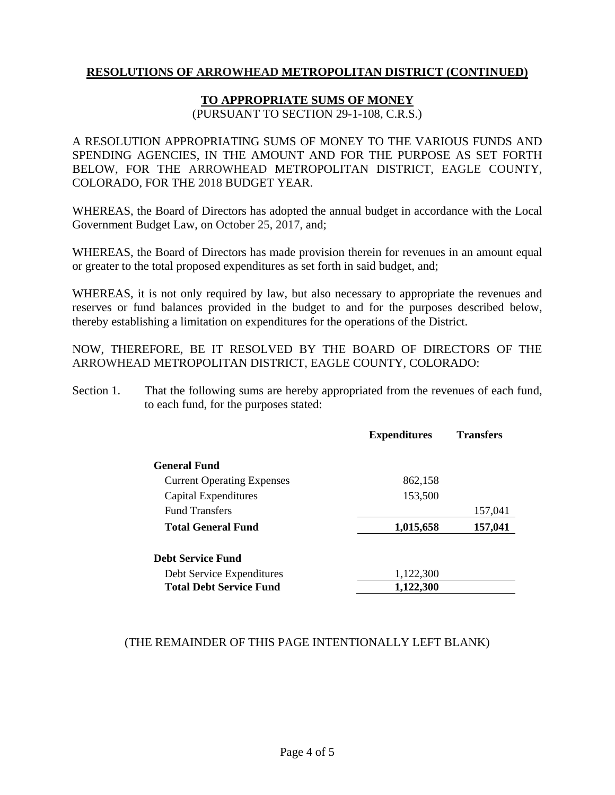#### **TO APPROPRIATE SUMS OF MONEY**

(PURSUANT TO SECTION 29-1-108, C.R.S.)

A RESOLUTION APPROPRIATING SUMS OF MONEY TO THE VARIOUS FUNDS AND SPENDING AGENCIES, IN THE AMOUNT AND FOR THE PURPOSE AS SET FORTH BELOW, FOR THE ARROWHEAD METROPOLITAN DISTRICT, EAGLE COUNTY, COLORADO, FOR THE 2018 BUDGET YEAR.

WHEREAS, the Board of Directors has adopted the annual budget in accordance with the Local Government Budget Law, on October 25, 2017, and;

WHEREAS, the Board of Directors has made provision therein for revenues in an amount equal or greater to the total proposed expenditures as set forth in said budget, and;

WHEREAS, it is not only required by law, but also necessary to appropriate the revenues and reserves or fund balances provided in the budget to and for the purposes described below, thereby establishing a limitation on expenditures for the operations of the District.

NOW, THEREFORE, BE IT RESOLVED BY THE BOARD OF DIRECTORS OF THE ARROWHEAD METROPOLITAN DISTRICT, EAGLE COUNTY, COLORADO:

Section 1. That the following sums are hereby appropriated from the revenues of each fund, to each fund, for the purposes stated:

|                                   | <b>Expenditures</b> | <b>Transfers</b> |
|-----------------------------------|---------------------|------------------|
| <b>General Fund</b>               |                     |                  |
| <b>Current Operating Expenses</b> | 862,158             |                  |
| Capital Expenditures              | 153,500             |                  |
| <b>Fund Transfers</b>             |                     | 157,041          |
| <b>Total General Fund</b>         | 1,015,658           | 157,041          |
| <b>Debt Service Fund</b>          |                     |                  |
| Debt Service Expenditures         | 1,122,300           |                  |
| <b>Total Debt Service Fund</b>    | 1,122,300           |                  |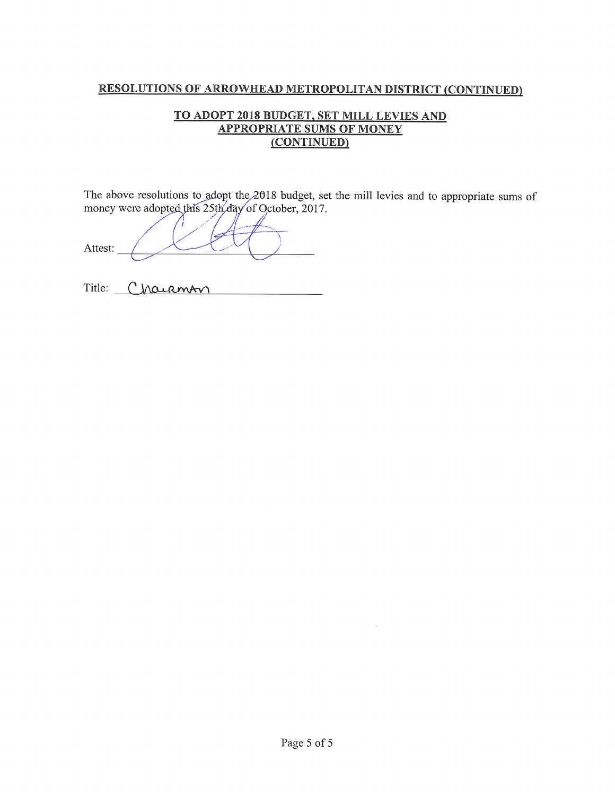#### TO ADOPT 2018 BUDGET, SET MILL LEVIES AND **APPROPRIATE SUMS OF MONEY** (CONTINUED)

The above resolutions to adopt the  $2018$  budget, set the mill levies and to appropriate sums of money were adopted this 25th day of October, 2017.

Attest:

Title: Charmon

 $\sim$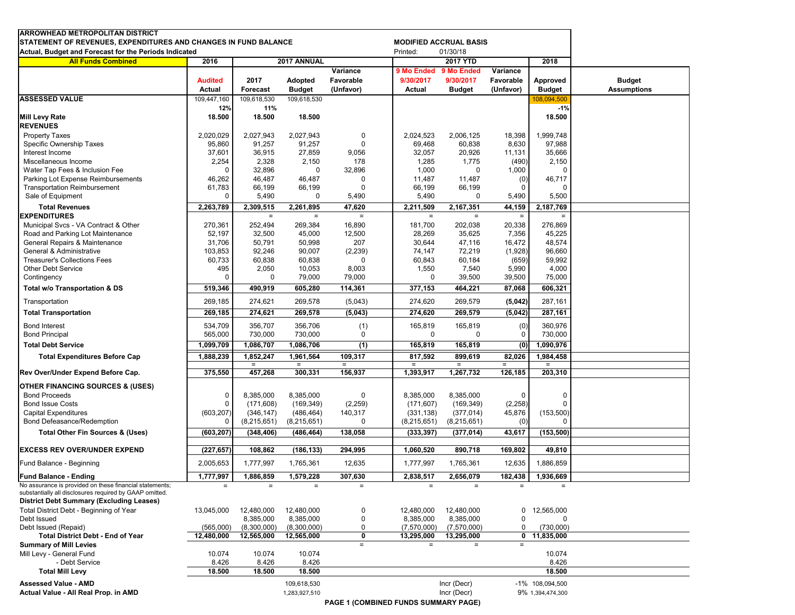| <b>ARROWHEAD METROPOLITAN DISTRICT</b><br>STATEMENT OF REVENUES, EXPENDITURES AND CHANGES IN FUND BALANCE<br>Actual, Budget and Forecast for the Periods Indicated    |                          |                         |                                 |                        | Printed:                             | <b>MODIFIED ACCRUAL BASIS</b><br>01/30/18 |                        |                           |                                     |
|-----------------------------------------------------------------------------------------------------------------------------------------------------------------------|--------------------------|-------------------------|---------------------------------|------------------------|--------------------------------------|-------------------------------------------|------------------------|---------------------------|-------------------------------------|
| <b>All Funds Combined</b>                                                                                                                                             | 2016                     |                         | 2017 ANNUAL                     |                        |                                      | 2017 YTD                                  |                        | 2018                      |                                     |
|                                                                                                                                                                       |                          |                         |                                 | Variance               | 9 Mo Ended 9 Mo Ended                |                                           | Variance               |                           |                                     |
|                                                                                                                                                                       | <b>Audited</b><br>Actual | 2017<br><b>Forecast</b> | <b>Adopted</b><br><b>Budget</b> | Favorable<br>(Unfavor) | 9/30/2017<br>Actual                  | 9/30/2017<br><b>Budget</b>                | Favorable<br>(Unfavor) | Approved<br><b>Budget</b> | <b>Budget</b><br><b>Assumptions</b> |
| <b>ASSESSED VALUE</b>                                                                                                                                                 | 109,447,160<br>12%       | 109,618,530<br>11%      | 109,618,530                     |                        |                                      |                                           |                        | 108,094,500<br>$-1%$      |                                     |
| <b>Mill Levy Rate</b><br><b>REVENUES</b>                                                                                                                              | 18.500                   | 18.500                  | 18.500                          |                        |                                      |                                           |                        | 18.500                    |                                     |
| <b>Property Taxes</b>                                                                                                                                                 | 2,020,029                | 2,027,943               | 2,027,943                       | 0                      | 2,024,523                            | 2,006,125                                 | 18,398                 | 1.999.748                 |                                     |
| Specific Ownership Taxes                                                                                                                                              | 95,860                   | 91,257                  | 91,257                          | $\mathbf 0$            | 69,468                               | 60,838                                    | 8,630                  | 97,988                    |                                     |
| Interest Income                                                                                                                                                       | 37,601                   | 36,915                  | 27,859                          | 9,056                  | 32,057                               | 20,926                                    | 11,131                 | 35,666                    |                                     |
| Miscellaneous Income                                                                                                                                                  | 2,254                    | 2,328                   | 2,150                           | 178                    | 1,285                                | 1,775                                     | (490)                  | 2,150                     |                                     |
| Water Tap Fees & Inclusion Fee                                                                                                                                        | C                        | 32,896                  | $\mathbf 0$                     | 32,896                 | 1,000                                | $\mathbf 0$                               | 1,000                  |                           |                                     |
| Parking Lot Expense Reimbursements                                                                                                                                    | 46,262                   | 46,487                  | 46,487                          | $\Omega$               | 11,487                               | 11,487                                    | (0)                    | 46,717                    |                                     |
| <b>Transportation Reimbursement</b>                                                                                                                                   | 61,783                   | 66,199                  | 66,199                          | 0                      | 66,199                               | 66,199                                    |                        |                           |                                     |
| Sale of Equipment<br><b>Total Revenues</b>                                                                                                                            | 0                        | 5,490<br>2,309,515      | 0                               | 5,490<br>47,620        | 5,490                                | 0                                         | 5,490                  | 5,500<br>2,187,769        |                                     |
| <b>EXPENDITURES</b>                                                                                                                                                   | 2,263,789                | $\equiv$                | 2,261,895<br>$\equiv$           | $=$                    | 2,211,509<br>$\equiv$                | 2,167,351<br>$=$                          | 44,159<br>$\equiv$     | $\equiv$                  |                                     |
| Municipal Svcs - VA Contract & Other                                                                                                                                  | 270,361                  | 252,494                 | 269,384                         | 16,890                 | 181,700                              | 202,038                                   | 20,338                 | 276,869                   |                                     |
| Road and Parking Lot Maintenance                                                                                                                                      | 52,197                   | 32,500                  | 45,000                          | 12,500                 | 28,269                               | 35,625                                    | 7,356                  | 45,225                    |                                     |
| General Repairs & Maintenance                                                                                                                                         | 31,706                   | 50,791                  | 50,998                          | 207                    | 30,644                               | 47,116                                    | 16,472                 | 48,574                    |                                     |
| General & Administrative                                                                                                                                              | 103,853                  | 92,246                  | 90,007                          | (2, 239)               | 74,147                               | 72,219                                    | (1,928)                | 96,660                    |                                     |
| <b>Treasurer's Collections Fees</b>                                                                                                                                   | 60,733                   | 60,838                  | 60,838                          | $\mathbf 0$            | 60,843                               | 60,184                                    | (659)                  | 59,992                    |                                     |
| <b>Other Debt Service</b>                                                                                                                                             | 495                      | 2,050                   | 10,053                          | 8,003                  | 1,550                                | 7,540                                     | 5,990                  | 4,000                     |                                     |
| Contingency                                                                                                                                                           | $\Omega$                 | $\mathbf 0$             | 79,000                          | 79,000                 | 0                                    | 39,500                                    | 39,500                 | 75,000                    |                                     |
| Total w/o Transportation & DS                                                                                                                                         | 519,346                  | 490,919                 | 605,280                         | 114,361                | 377,153                              | 464,221                                   | 87,068                 | 606,321                   |                                     |
| Transportation                                                                                                                                                        | 269,185                  | 274,621                 | 269,578                         | (5,043)                | 274,620                              | 269,579                                   | (5,042)                | 287,161                   |                                     |
| <b>Total Transportation</b>                                                                                                                                           | 269,185                  | 274,621                 | 269,578                         | (5,043)                | 274,620                              | 269,579                                   | (5,042)                | 287,161                   |                                     |
| <b>Bond Interest</b>                                                                                                                                                  | 534,709                  | 356,707                 | 356,706                         | (1)                    | 165,819                              | 165,819                                   | (0)                    | 360,976                   |                                     |
| <b>Bond Principal</b>                                                                                                                                                 | 565,000                  | 730,000                 | 730,000                         | 0                      | 0                                    | 0                                         | 0                      | 730,000                   |                                     |
| <b>Total Debt Service</b>                                                                                                                                             | 1,099,709                | 1,086,707               | 1,086,706                       | (1)                    | 165,819                              | 165,819                                   | (0)                    | 1,090,976                 |                                     |
| <b>Total Expenditures Before Cap</b>                                                                                                                                  | 1,888,239                | 1,852,247               | 1,961,564                       | 109,317<br>$\equiv$    | 817,592<br>$\equiv$                  | 899,619<br>$\equiv$                       | 82,026                 | 1,984,458<br>$=$          |                                     |
| Rev Over/Under Expend Before Cap.                                                                                                                                     | 375,550                  | $\equiv$<br>457,268     | $\equiv$<br>300,331             | 156,937                | 1,393,917                            | 1,267,732                                 | $=$<br>126,185         | 203,310                   |                                     |
| <b>OTHER FINANCING SOURCES &amp; (USES)</b>                                                                                                                           |                          |                         |                                 |                        |                                      |                                           |                        |                           |                                     |
| <b>Bond Proceeds</b>                                                                                                                                                  | $\Omega$                 | 8,385,000               | 8,385,000                       | 0                      | 8,385,000                            | 8,385,000                                 | $\Omega$               | 0                         |                                     |
| <b>Bond Issue Costs</b>                                                                                                                                               | O                        | (171, 608)              | (169, 349)                      | (2,259)                | (171, 607)                           | (169, 349)                                | (2, 258)               | $\Omega$                  |                                     |
| <b>Capital Expenditures</b>                                                                                                                                           | (603, 207)               | (346, 147)              | (486, 464)                      | 140,317                | (331, 138)                           | (377, 014)                                | 45,876                 | (153,500)                 |                                     |
| Bond Defeasance/Redemption                                                                                                                                            |                          | (8,215,651)             | (8,215,651)                     | 0                      | (8,215,651)                          | (8,215,651)                               | (0)                    | $\Omega$                  |                                     |
| <b>Total Other Fin Sources &amp; (Uses)</b>                                                                                                                           | (603, 207)               | (348, 406)              | (486, 464)                      | 138,058                | (333, 397)                           | (377, 014)                                | 43,617                 | (153, 500)                |                                     |
| <b>EXCESS REV OVER/UNDER EXPEND</b>                                                                                                                                   | (227, 657)               | 108,862                 | (186, 133)                      | 294,995                | 1,060,520                            | 890,718                                   | 169,802                | 49,810                    |                                     |
| Fund Balance - Beginning                                                                                                                                              | 2,005,653                | 1,777,997               | 1,765,361                       | 12,635                 | 1,777,997                            | 1,765,361                                 | 12,635                 | 1,886,859                 |                                     |
| Fund Balance - Ending                                                                                                                                                 | 1,777,997                | 1,886,859               | 1,579,228                       | 307,630                | 2,838,517                            | 2,656,079                                 |                        | 182,438 1,936,669         |                                     |
| No assurance is provided on these financial statements;<br>substantially all disclosures required by GAAP omitted.<br><b>District Debt Summary (Excluding Leases)</b> | $=$                      | $\equiv$                | $\equiv$                        | $\equiv$               | $\equiv$                             | $\qquad \qquad =$                         | $=$                    | $=$                       |                                     |
| Total District Debt - Beginning of Year                                                                                                                               | 13,045,000               | 12,480,000              | 12,480,000                      | $\mathbf 0$            | 12,480,000                           | 12,480,000                                | 0                      | 12,565,000                |                                     |
| Debt Issued                                                                                                                                                           |                          | 8,385,000               | 8,385,000                       | 0                      | 8,385,000                            | 8,385,000                                 | 0                      | 0                         |                                     |
| Debt Issued (Repaid)                                                                                                                                                  | (565,000)                | (8,300,000)             | (8,300,000)                     | 0                      | (7,570,000)                          | (7,570,000)                               | 0                      | (730,000)                 |                                     |
| <b>Total District Debt - End of Year</b>                                                                                                                              | 12,480,000               | 12,565,000              | 12,565,000                      | 0                      | 13,295,000                           | 13,295,000                                | $\mathbf{0}$           | 11,835,000                |                                     |
| <b>Summary of Mill Levies</b>                                                                                                                                         |                          |                         |                                 | $=$                    | $=$                                  | $=$                                       | $=$                    |                           |                                     |
| Mill Levy - General Fund                                                                                                                                              | 10.074                   | 10.074                  | 10.074                          |                        |                                      |                                           |                        | 10.074                    |                                     |
| - Debt Service                                                                                                                                                        | 8.426                    | 8.426                   | 8.426                           |                        |                                      |                                           |                        | 8.426                     |                                     |
| <b>Total Mill Levy</b>                                                                                                                                                | 18.500                   | 18.500                  | 18.500                          |                        |                                      |                                           |                        | 18.500                    |                                     |
| <b>Assessed Value - AMD</b>                                                                                                                                           |                          |                         | 109,618,530                     |                        |                                      | Incr (Decr)                               |                        | -1% 108,094,500           |                                     |
| Actual Value - All Real Prop. in AMD                                                                                                                                  |                          |                         | 1,283,927,510                   |                        |                                      | Incr (Decr)                               |                        | 9% 1,394,474,300          |                                     |
|                                                                                                                                                                       |                          |                         |                                 |                        | PAGE 1 (COMBINED FUNDS SUMMARY PAGE) |                                           |                        |                           |                                     |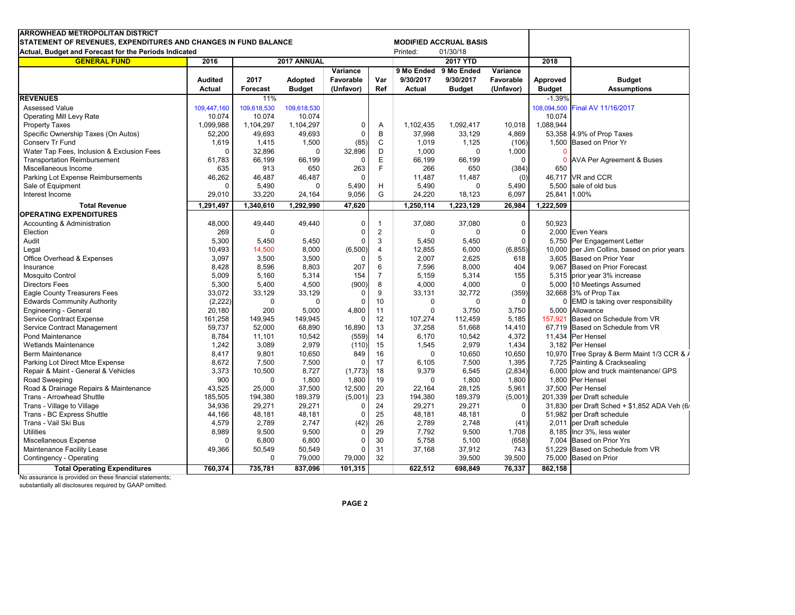| <b>ARROWHEAD METROPOLITAN DISTRICT</b><br><b>MODIFIED ACCRUAL BASIS</b> |                |                     |                |           |                |               |               |             |               |                                              |
|-------------------------------------------------------------------------|----------------|---------------------|----------------|-----------|----------------|---------------|---------------|-------------|---------------|----------------------------------------------|
| STATEMENT OF REVENUES, EXPENDITURES AND CHANGES IN FUND BALANCE         |                |                     |                |           |                | Printed:      | 01/30/18      |             |               |                                              |
| Actual, Budget and Forecast for the Periods Indicated                   |                |                     |                |           |                |               |               |             | 2018          |                                              |
| <b>GENERAL FUND</b>                                                     |                | 2017 ANNUAL<br>2016 |                |           |                |               | 2017 YTD      |             |               |                                              |
|                                                                         |                |                     |                | Variance  |                | 9 Mo Ended    | 9 Mo Ended    | Variance    |               |                                              |
|                                                                         | <b>Audited</b> | 2017                | <b>Adopted</b> | Favorable | Var            | 9/30/2017     | 9/30/2017     | Favorable   | Approved      | <b>Budget</b>                                |
|                                                                         | <b>Actual</b>  | <b>Forecast</b>     | <b>Budget</b>  | (Unfavor) | Ref            | <b>Actual</b> | <b>Budget</b> | (Unfavor)   | <b>Budget</b> | <b>Assumptions</b>                           |
| <b>REVENUES</b>                                                         |                | 11%                 |                |           |                |               |               |             | $-1.39%$      |                                              |
| Assessed Value                                                          | 109,447,160    | 109,618,530         | 109,618,530    |           |                |               |               |             | 108,094,500   | Final AV 11/16/2017                          |
| <b>Operating Mill Levy Rate</b>                                         | 10.074         | 10.074              | 10.074         |           |                |               |               |             | 10.074        |                                              |
| <b>Property Taxes</b>                                                   | 1,099,988      | 1,104,297           | 1,104,297      | 0         | Α              | 1,102,435     | 1,092,417     | 10,018      | 1,088,944     |                                              |
| Specific Ownership Taxes (On Autos)                                     | 52,200         | 49,693              | 49,693         | 0         | B              | 37,998        | 33,129        | 4,869       |               | 53,358 4.9% of Prop Taxes                    |
| Conserv Tr Fund                                                         | 1,619          | 1,415               | 1,500          | (85)      | C              | 1,019         | 1,125         | (106)       |               | 1,500 Based on Prior Yr                      |
| Water Tap Fees, Inclusion & Exclusion Fees                              | $\Omega$       | 32,896              | $\Omega$       | 32,896    | D              | 1,000         | $\Omega$      | 1,000       |               |                                              |
| <b>Transportation Reimbursement</b>                                     | 61,783         | 66,199              | 66,199         | $\Omega$  | E              | 66,199        | 66,199        | $\Omega$    | $\Omega$      | AVA Per Agreement & Buses                    |
| Miscellaneous Income                                                    | 635            | 913                 | 650            | 263       | F              | 266           | 650           | (384)       | 650           |                                              |
| Parking Lot Expense Reimbursements                                      | 46,262         | 46,487              | 46,487         | $\Omega$  |                | 11,487        | 11,487        | (0)         |               | 46,717 VR and CCR                            |
| Sale of Equipment                                                       | $\Omega$       | 5,490               | 0              | 5,490     | н              | 5,490         | 0             | 5,490       | 5,500         | sale of old bus                              |
| Interest Income                                                         | 29,010         | 33,220              | 24,164         | 9,056     | G              | 24.220        | 18,123        | 6,097       | 25,841        | 1.00%                                        |
| <b>Total Revenue</b>                                                    | 1,291,497      | 1,340,610           | 1,292,990      | 47,620    |                | 1,250,114     | 1,223,129     | 26,984      | 1,222,509     |                                              |
| <b>OPERATING EXPENDITURES</b>                                           |                |                     |                |           |                |               |               |             |               |                                              |
| Accounting & Administration                                             | 48,000         | 49,440              | 49,440         | $\Omega$  | $\mathbf{1}$   | 37,080        | 37,080        | $\mathbf 0$ | 50,923        |                                              |
| Election                                                                | 269            | $\Omega$            |                | $\Omega$  | $\overline{2}$ | $\mathbf 0$   | $\Omega$      | $\Omega$    |               | 2,000 Even Years                             |
| Audit                                                                   | 5,300          | 5,450               | 5,450          | 0         | 3              | 5,450         | 5,450         | $\Omega$    |               | 5,750 Per Engagement Letter                  |
| Legal                                                                   | 10,493         | 14,500              | 8,000          | (6,500)   | $\overline{4}$ | 12,855        | 6,000         | (6, 855)    |               | 10,000 per Jim Collins, based on prior years |
| Office Overhead & Expenses                                              | 3,097          | 3,500               | 3,500          | $\Omega$  | $\overline{5}$ | 2,007         | 2,625         | 618         |               | 3.605 Based on Prior Year                    |
| Insurance                                                               | 8,428          | 8,596               | 8,803          | 207       | 6              | 7,596         | 8,000         | 404         |               | 9.067 Based on Prior Forecast                |
| <b>Mosquito Control</b>                                                 | 5,009          | 5,160               | 5,314          | 154       | $\overline{7}$ | 5,159         | 5,314         | 155         |               | 5,315 prior year 3% increase                 |
| <b>Directors Fees</b>                                                   | 5,300          | 5,400               | 4,500          | (900)     | 8              | 4,000         | 4,000         | $\mathbf 0$ |               | 5,000 10 Meetings Assumed                    |
| <b>Eagle County Treasurers Fees</b>                                     | 33,072         | 33,129              | 33,129         | $\Omega$  | 9              | 33,131        | 32,772        | (359)       |               | 32,668 3% of Prop Tax                        |
| <b>Edwards Community Authority</b>                                      | (2, 222)       | $\mathbf 0$         | $\mathbf 0$    | $\Omega$  | 10             | $\mathbf 0$   | $\Omega$      | $\Omega$    |               | 0 EMD is taking over responsibility          |
| Engineering - General                                                   | 20,180         | 200                 | 5,000          | 4,800     | 11             | $\Omega$      | 3,750         | 3,750       |               | 5.000 Allowance                              |
| <b>Service Contract Expense</b>                                         | 161,258        | 149,945             | 149,945        | $\Omega$  | 12             | 107,274       | 112,459       | 5,185       | 157.921       | Based on Schedule from VR                    |
| Service Contract Management                                             | 59,737         | 52,000              | 68,890         | 16,890    | 13             | 37,258        | 51,668        | 14,410      |               | 67,719 Based on Schedule from VR             |
| Pond Maintenance                                                        | 8,784          | 11,101              | 10,542         | (559)     | 14             | 6,170         | 10,542        | 4,372       |               | 11,434 Per Hensel                            |
| <b>Wetlands Maintenance</b>                                             | 1,242          | 3,089               | 2,979          | (110)     | 15             | 1,545         | 2,979         | 1,434       |               | 3,182 Per Hensel                             |
| Berm Maintenance                                                        | 8,417          | 9,801               | 10,650         | 849       | 16             | $\mathbf 0$   | 10,650        | 10,650      |               | 10,970 Tree Spray & Berm Maint 1/3 CCR & /   |
| Parking Lot Direct Mtce Expense                                         | 8,672          | 7,500               | 7,500          | $\Omega$  | 17             | 6,105         | 7,500         | 1,395       |               | 7,725 Painting & Cracksealing                |
| Repair & Maint - General & Vehicles                                     | 3,373          | 10,500              | 8,727          | (1,773)   | 18             | 9,379         | 6,545         | (2,834)     |               | 6,000 plow and truck maintenance/ GPS        |
| Road Sweeping                                                           | 900            | $\mathbf 0$         | 1,800          | 1,800     | 19             | $\Omega$      | 1,800         | 1,800       |               | 1,800 Per Hensel                             |
| Road & Drainage Repairs & Maintenance                                   | 43,525         | 25,000              | 37,500         | 12,500    | 20             | 22,164        | 28,125        | 5,961       |               | 37,500 Per Hensel                            |
| Trans - Arrowhead Shuttle                                               | 185,505        | 194,380             | 189,379        | (5,001)   | 23             | 194,380       | 189,379       | (5,001)     |               | 201,339 per Draft schedule                   |
| Trans - Village to Village                                              | 34,936         | 29,271              | 29,271         | $\Omega$  | 24             | 29,271        | 29,271        | $\Omega$    | 31,830        | per Draft Sched + \$1,852 ADA Veh (6/        |
| Trans - BC Express Shuttle                                              | 44,166         | 48,181              | 48,181         | 0         | 25             | 48,181        | 48,181        | $\Omega$    |               | 51,982 per Draft schedule                    |
| Trans - Vail Ski Bus                                                    | 4,579          | 2,789               | 2,747          | (42)      | 26             | 2,789         | 2,748         | (41)        |               | 2,011 per Draft schedule                     |
| <b>Utilities</b>                                                        | 8,989          | 9,500               | 9,500          | $\Omega$  | 29             | 7,792         | 9,500         | 1,708       |               | 8,185 Incr 3%, less water                    |
| Miscellaneous Expense                                                   | $\Omega$       | 6,800               | 6,800          | $\Omega$  | 30             | 5,758         | 5,100         | (658)       |               | 7,004 Based on Prior Yrs                     |
| Maintenance Facility Lease                                              | 49,366         | 50,549              | 50,549         | $\Omega$  | 31             | 37,168        | 37,912        | 743         |               | 51,229 Based on Schedule from VR             |
| Contingency - Operating                                                 |                | 0                   | 79,000         | 79,000    | 32             |               | 39,500        | 39,500      |               | 75,000 Based on Prior                        |
|                                                                         |                |                     |                |           |                |               |               |             |               |                                              |
| <b>Total Operating Expenditures</b>                                     | 760,374        | 735,781             | 837,096        | 101,315   |                | 622,512       | 698,849       | 76,337      | 862,158       |                                              |

No assurance is provided on these financial statements; substantially all disclosures required by GAAP omitted.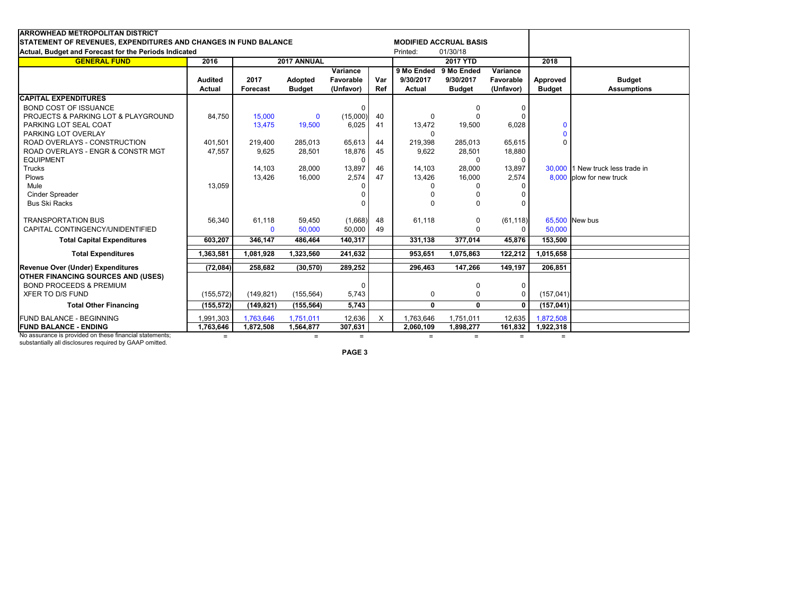| <b>ARROWHEAD METROPOLITAN DISTRICT</b>                          |                |                         |               |           |          |               |                               |              |               |                                  |
|-----------------------------------------------------------------|----------------|-------------------------|---------------|-----------|----------|---------------|-------------------------------|--------------|---------------|----------------------------------|
| STATEMENT OF REVENUES, EXPENDITURES AND CHANGES IN FUND BALANCE |                |                         |               |           |          |               | <b>MODIFIED ACCRUAL BASIS</b> |              |               |                                  |
| Actual, Budget and Forecast for the Periods Indicated           |                |                         |               |           |          |               | 01/30/18                      |              |               |                                  |
| <b>GENERAL FUND</b>                                             | 2016           | Printed:<br>2017 ANNUAL |               |           |          |               | <b>2017 YTD</b>               |              | 2018          |                                  |
|                                                                 |                |                         |               | Variance  |          | 9 Mo Ended    | 9 Mo Ended                    | Variance     |               |                                  |
|                                                                 | <b>Audited</b> | 2017                    | Adopted       | Favorable | Var      | 9/30/2017     | 9/30/2017                     | Favorable    | Approved      | <b>Budget</b>                    |
|                                                                 | Actual         | <b>Forecast</b>         | <b>Budget</b> | (Unfavor) | Ref      | <b>Actual</b> | <b>Budget</b>                 | (Unfavor)    | <b>Budget</b> | <b>Assumptions</b>               |
| <b>CAPITAL EXPENDITURES</b>                                     |                |                         |               |           |          |               |                               |              |               |                                  |
| <b>BOND COST OF ISSUANCE</b>                                    |                |                         |               | 0         |          |               | <sup>0</sup>                  | $\mathbf 0$  |               |                                  |
| PROJECTS & PARKING LOT & PLAYGROUND                             | 84.750         | 15,000                  | $\mathbf{0}$  | (15,000)  | 40       | $\Omega$      | $\Omega$                      | $\Omega$     |               |                                  |
| PARKING LOT SEAL COAT                                           |                | 13,475                  | 19,500        | 6,025     | 41       | 13,472        | 19,500                        | 6,028        | $\mathbf{0}$  |                                  |
| PARKING LOT OVERLAY                                             |                |                         |               |           |          | <sup>0</sup>  |                               |              | $\Omega$      |                                  |
| ROAD OVERLAYS - CONSTRUCTION                                    | 401.501        | 219,400                 | 285,013       | 65,613    | 44       | 219,398       | 285,013                       | 65,615       | $\Omega$      |                                  |
| ROAD OVERLAYS - ENGR & CONSTR MGT                               | 47,557         | 9,625                   | 28,501        | 18,876    | 45       | 9,622         | 28,501                        | 18,880       |               |                                  |
| <b>EQUIPMENT</b>                                                |                |                         |               | $\Omega$  |          |               | $\mathbf 0$                   | $\Omega$     |               |                                  |
| Trucks                                                          |                | 14,103                  | 28,000        | 13,897    | 46       | 14,103        | 28,000                        | 13,897       |               | 30,000 1 New truck less trade in |
| <b>Plows</b>                                                    |                | 13,426                  | 16,000        | 2,574     | 47       | 13,426        | 16,000                        | 2.574        |               | 8.000 plow for new truck         |
| Mule                                                            | 13,059         |                         |               |           |          | n             |                               |              |               |                                  |
| <b>Cinder Spreader</b>                                          |                |                         |               |           |          |               |                               |              |               |                                  |
| <b>Bus Ski Racks</b>                                            |                |                         |               |           |          | $\Omega$      | $\Omega$                      | $\Omega$     |               |                                  |
| <b>TRANSPORTATION BUS</b>                                       | 56,340         | 61,118                  | 59,450        | (1,668)   | 48       | 61,118        | 0                             | (61, 118)    |               | 65,500 New bus                   |
| CAPITAL CONTINGENCY/UNIDENTIFIED                                |                | $\mathbf{0}$            | 50,000        | 50,000    | 49       |               | $\Omega$                      | $\Omega$     | 50,000        |                                  |
| <b>Total Capital Expenditures</b>                               | 603,207        | 346,147                 | 486,464       | 140,317   |          | 331,138       | 377,014                       | 45,876       | 153,500       |                                  |
| <b>Total Expenditures</b>                                       | 1,363,581      | 1,081,928               | 1,323,560     | 241,632   |          | 953,651       | 1,075,863                     | 122,212      | 1,015,658     |                                  |
| Revenue Over (Under) Expenditures                               | (72, 084)      | 258,682                 | (30, 570)     | 289,252   |          | 296,463       | 147,266                       | 149,197      | 206.851       |                                  |
| <b>OTHER FINANCING SOURCES AND (USES)</b>                       |                |                         |               |           |          |               |                               |              |               |                                  |
| <b>BOND PROCEEDS &amp; PREMIUM</b>                              |                |                         |               | 0         |          |               | 0                             | $\mathbf 0$  |               |                                  |
| XFER TO D/S FUND                                                | (155, 572)     | (149, 821)              | (155, 564)    | 5,743     |          | 0             | $\mathbf 0$                   | $\mathbf 0$  | (157, 041)    |                                  |
| <b>Total Other Financing</b>                                    | (155, 572)     | (149, 821)              | (155, 564)    | 5,743     |          | $\mathbf{0}$  | $\mathbf{0}$                  | $\mathbf{0}$ | (157, 041)    |                                  |
| FUND BALANCE - BEGINNING                                        | 1,991,303      | 1,763,646               | 1,751,011     | 12,636    | $\times$ | 1,763,646     | 1,751,011                     | 12,635       | 1,872,508     |                                  |
| <b>FUND BALANCE - ENDING</b>                                    | 1,763,646      | 1,872,508               | 1,564,877     | 307,631   |          | 2,060,109     | 1,898,277                     | 161,832      | 1,922,318     |                                  |
| No assurance is provided on these financial statements;         | $=$            |                         | $=$           | $=$       |          | $=$           | $=$                           | $=$          | $=$           |                                  |

No assurance is provided on these financial statements; substantially all disclosures required by GAAP omitted.

**PAGE 3**